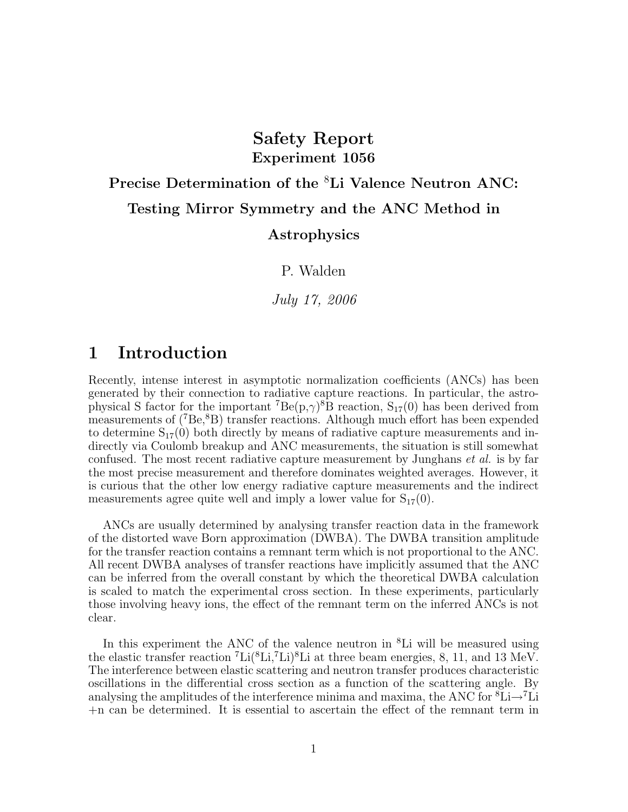# Safety Report Experiment 1056

# Precise Determination of the <sup>8</sup>Li Valence Neutron ANC: Testing Mirror Symmetry and the ANC Method in

#### Astrophysics

P. Walden

July 17, 2006

# 1 Introduction

Recently, intense interest in asymptotic normalization coefficients (ANCs) has been generated by their connection to radiative capture reactions. In particular, the astrophysical S factor for the important <sup>7</sup> $Be(p,\gamma)^8B$  reaction,  $S_{17}(0)$  has been derived from measurements of  $({}^{7}Be, {}^{8}B)$  transfer reactions. Although much effort has been expended to determine  $S_{17}(0)$  both directly by means of radiative capture measurements and indirectly via Coulomb breakup and ANC measurements, the situation is still somewhat confused. The most recent radiative capture measurement by Junghans et al. is by far the most precise measurement and therefore dominates weighted averages. However, it is curious that the other low energy radiative capture measurements and the indirect measurements agree quite well and imply a lower value for  $S_{17}(0)$ .

ANCs are usually determined by analysing transfer reaction data in the framework of the distorted wave Born approximation (DWBA). The DWBA transition amplitude for the transfer reaction contains a remnant term which is not proportional to the ANC. All recent DWBA analyses of transfer reactions have implicitly assumed that the ANC can be inferred from the overall constant by which the theoretical DWBA calculation is scaled to match the experimental cross section. In these experiments, particularly those involving heavy ions, the effect of the remnant term on the inferred ANCs is not clear.

In this experiment the ANC of the valence neutron in <sup>8</sup>Li will be measured using the elastic transfer reaction  ${}^{7}$ Li ${}^{8}$ Li, ${}^{7}$ Li ${}^{8}$ Li at three beam energies, 8, 11, and 13 MeV. The interference between elastic scattering and neutron transfer produces characteristic oscillations in the differential cross section as a function of the scattering angle. By analysing the amplitudes of the interference minima and maxima, the ANC for  ${}^8\text{Li}\rightarrow{}^7\text{Li}$ +n can be determined. It is essential to ascertain the effect of the remnant term in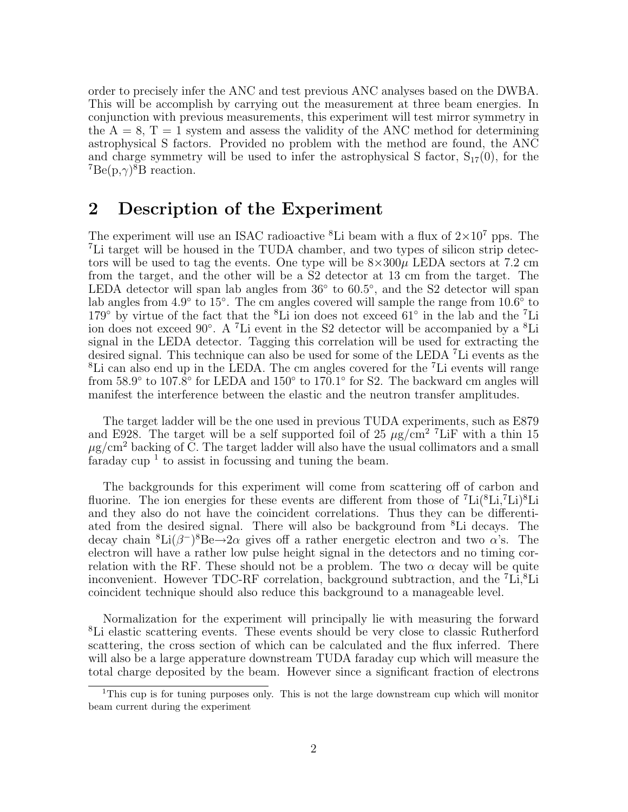order to precisely infer the ANC and test previous ANC analyses based on the DWBA. This will be accomplish by carrying out the measurement at three beam energies. In conjunction with previous measurements, this experiment will test mirror symmetry in the  $A = 8$ ,  $T = 1$  system and assess the validity of the ANC method for determining astrophysical S factors. Provided no problem with the method are found, the ANC and charge symmetry will be used to infer the astrophysical S factor,  $S_{17}(0)$ , for the  ${}^{7}Be(p,\gamma){}^{8}B$  reaction.

### 2 Description of the Experiment

The experiment will use an ISAC radioactive  ${}^{8}$ Li beam with a flux of  $2\times10^{7}$  pps. The <sup>7</sup>Li target will be housed in the TUDA chamber, and two types of silicon strip detectors will be used to tag the events. One type will be  $8\times300\mu$  LEDA sectors at 7.2 cm from the target, and the other will be a S2 detector at 13 cm from the target. The LEDA detector will span lab angles from  $36°$  to  $60.5°$ , and the S2 detector will span lab angles from 4.9 $\degree$  to 15 $\degree$ . The cm angles covered will sample the range from 10.6 $\degree$  to 179<sup>°</sup> by virtue of the fact that the <sup>8</sup>Li ion does not exceed 61<sup>°</sup> in the lab and the <sup>7</sup>Li ion does not exceed 90◦ . A <sup>7</sup>Li event in the S2 detector will be accompanied by a <sup>8</sup>Li signal in the LEDA detector. Tagging this correlation will be used for extracting the desired signal. This technique can also be used for some of the LEDA <sup>7</sup>Li events as the <sup>8</sup>Li can also end up in the LEDA. The cm angles covered for the <sup>7</sup>Li events will range from  $58.9°$  to  $107.8°$  for LEDA and  $150°$  to  $170.1°$  for S2. The backward cm angles will manifest the interference between the elastic and the neutron transfer amplitudes.

The target ladder will be the one used in previous TUDA experiments, such as E879 and E928. The target will be a self supported foil of 25  $\mu$ g/cm<sup>2</sup> <sup>7</sup>LiF with a thin 15  $\mu$ g/cm<sup>2</sup> backing of C. The target ladder will also have the usual collimators and a small faraday cup<sup>1</sup> to assist in focussing and tuning the beam.

The backgrounds for this experiment will come from scattering off of carbon and fluorine. The ion energies for these events are different from those of  ${}^{7}Li({}^{8}Li,{}^{7}Li){}^{8}Li$ and they also do not have the coincident correlations. Thus they can be differentiated from the desired signal. There will also be background from <sup>8</sup>Li decays. The decay chain <sup>8</sup>Li( $\beta$ <sup>-</sup>)<sup>8</sup>Be $\rightarrow$ 2 $\alpha$  gives off a rather energetic electron and two  $\alpha$ 's. The electron will have a rather low pulse height signal in the detectors and no timing correlation with the RF. These should not be a problem. The two  $\alpha$  decay will be quite inconvenient. However TDC-RF correlation, background subtraction, and the 'Li,<sup>8</sup>Li coincident technique should also reduce this background to a manageable level.

Normalization for the experiment will principally lie with measuring the forward <sup>8</sup>Li elastic scattering events. These events should be very close to classic Rutherford scattering, the cross section of which can be calculated and the flux inferred. There will also be a large apperature downstream TUDA faraday cup which will measure the total charge deposited by the beam. However since a significant fraction of electrons

<sup>&</sup>lt;sup>1</sup>This cup is for tuning purposes only. This is not the large downstream cup which will monitor beam current during the experiment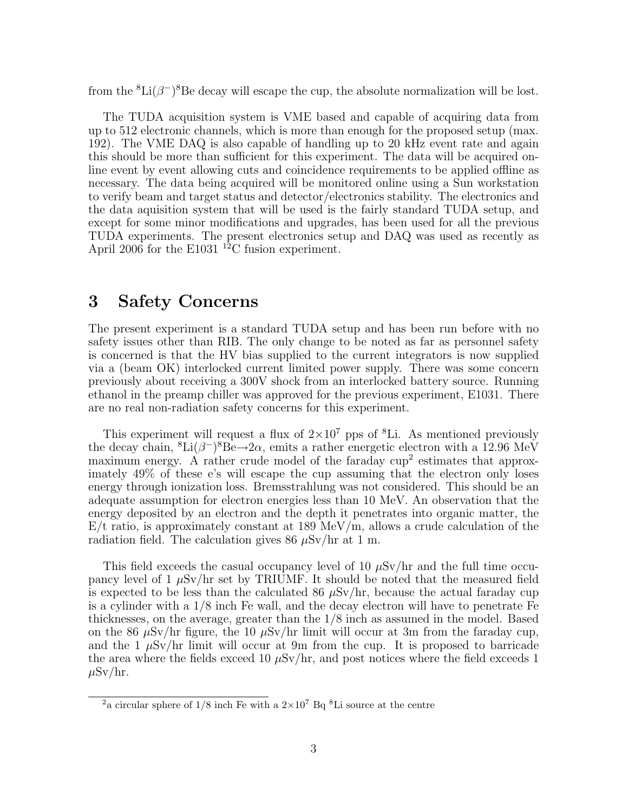from the  ${}^{8}\text{Li}(\beta^-){}^{8}\text{Be}$  decay will escape the cup, the absolute normalization will be lost.

The TUDA acquisition system is VME based and capable of acquiring data from up to 512 electronic channels, which is more than enough for the proposed setup (max. 192). The VME DAQ is also capable of handling up to 20 kHz event rate and again this should be more than sufficient for this experiment. The data will be acquired online event by event allowing cuts and coincidence requirements to be applied offline as necessary. The data being acquired will be monitored online using a Sun workstation to verify beam and target status and detector/electronics stability. The electronics and the data aquisition system that will be used is the fairly standard TUDA setup, and except for some minor modifications and upgrades, has been used for all the previous TUDA experiments. The present electronics setup and DAQ was used as recently as April 2006 for the E1031<sup>12</sup>C fusion experiment.

# 3 Safety Concerns

The present experiment is a standard TUDA setup and has been run before with no safety issues other than RIB. The only change to be noted as far as personnel safety is concerned is that the HV bias supplied to the current integrators is now supplied via a (beam OK) interlocked current limited power supply. There was some concern previously about receiving a 300V shock from an interlocked battery source. Running ethanol in the preamp chiller was approved for the previous experiment, E1031. There are no real non-radiation safety concerns for this experiment.

This experiment will request a flux of  $2\times10^7$  pps of <sup>8</sup>Li. As mentioned previously the decay chain,  ${}^{8}\text{Li}(\beta^-){}^{8}\text{Be} \rightarrow 2\alpha$ , emits a rather energetic electron with a 12.96 MeV maximum energy. A rather crude model of the faraday  $\text{cup}^2$  estimates that approximately 49% of these e's will escape the cup assuming that the electron only loses energy through ionization loss. Bremsstrahlung was not considered. This should be an adequate assumption for electron energies less than 10 MeV. An observation that the energy deposited by an electron and the depth it penetrates into organic matter, the  $E/t$  ratio, is approximately constant at 189 MeV/m, allows a crude calculation of the radiation field. The calculation gives  $86 \mu$ Sv/hr at 1 m.

This field exceeds the casual occupancy level of 10  $\mu$ Sv/hr and the full time occupancy level of 1  $\mu$ Sv/hr set by TRIUMF. It should be noted that the measured field is expected to be less than the calculated 86  $\mu$ Sv/hr, because the actual faraday cup is a cylinder with a 1/8 inch Fe wall, and the decay electron will have to penetrate Fe thicknesses, on the average, greater than the 1/8 inch as assumed in the model. Based on the 86  $\mu$ Sv/hr figure, the 10  $\mu$ Sv/hr limit will occur at 3m from the faraday cup, and the 1  $\mu$ Sv/hr limit will occur at 9m from the cup. It is proposed to barricade the area where the fields exceed 10  $\mu$ Sv/hr, and post notices where the field exceeds 1  $\mu$ Sv/hr.

<sup>&</sup>lt;sup>2</sup>a circular sphere of  $1/8$  inch Fe with a  $2\times10^7$  Bq <sup>8</sup>Li source at the centre